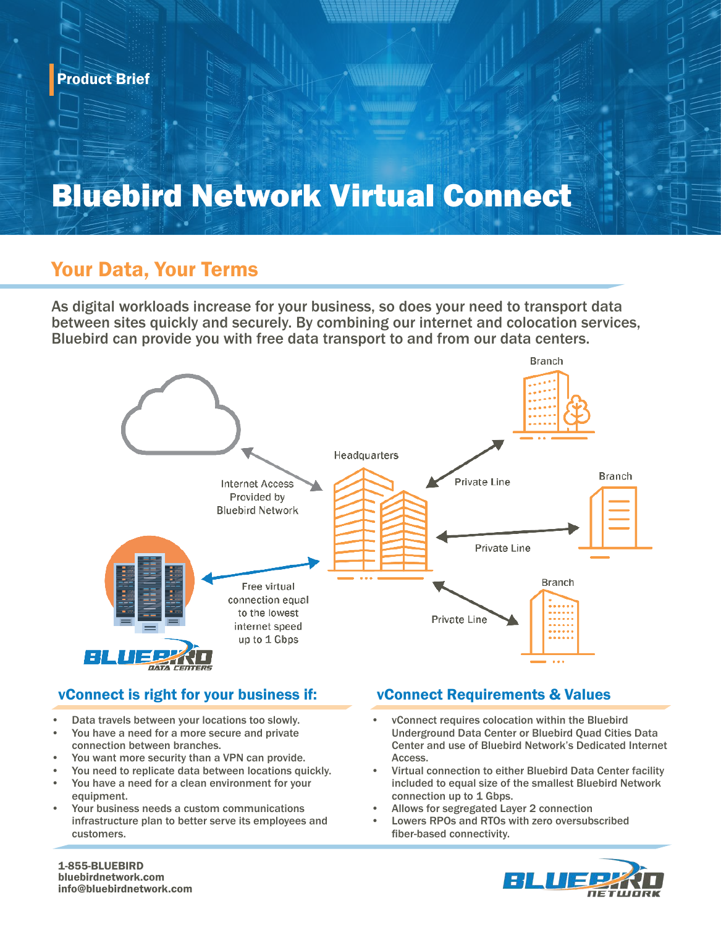## Bluebird Network Virtual Connect

### Your Data, Your Terms

As digital workloads increase for your business, so does your need to transport data between sites quickly and securely. By combining our internet and colocation services, Bluebird can provide you with free data transport to and from our data centers.



#### vConnect is right for your business if: vConnect Requirements & Values

- Data travels between your locations too slowly.
- You have a need for a more secure and private connection between branches.
- You want more security than a VPN can provide.
- You need to replicate data between locations quickly.
- You have a need for a clean environment for your equipment.
- Your business needs a custom communications infrastructure plan to better serve its employees and customers.

- vConnect requires colocation within the Bluebird Underground Data Center or Bluebird Quad Cities Data Center and use of Bluebird Network's Dedicated Internet Access.
- Virtual connection to either Bluebird Data Center facility included to equal size of the smallest Bluebird Network connection up to 1 Gbps.
- Allows for segregated Layer 2 connection
- Lowers RPOs and RTOs with zero oversubscribed fiber-based connectivity.



1-855-BLUEBIRD bluebirdnetwork.com info@bluebirdnetwork.com